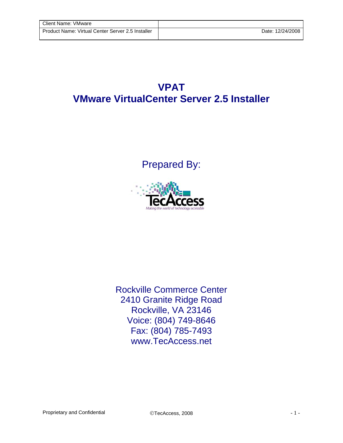## **VPAT VMware VirtualCenter Server 2.5 Installer**

Prepared By:



Rockville Commerce Center 2410 Granite Ridge Road Rockville, VA 23146 Voice: (804) 749-8646 Fax: (804) 785-7493 www.TecAccess.net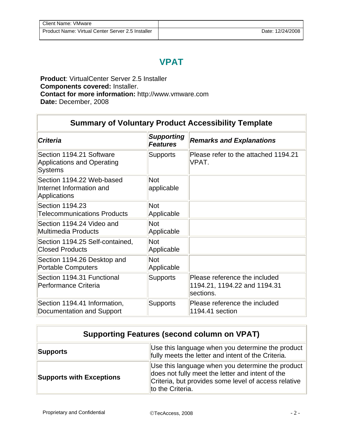## **VPAT**

**Product**: VirtualCenter Server 2.5 Installer **Components covered:** Installer. **Contact for more information:** http://www.vmware.com **Date:** December, 2008

## **Summary of Voluntary Product Accessibility Template**

| <b>Criteria</b>                                                                 | <b>Supporting</b><br><b>Features</b> | <b>Remarks and Explanations</b>                                            |
|---------------------------------------------------------------------------------|--------------------------------------|----------------------------------------------------------------------------|
| Section 1194.21 Software<br><b>Applications and Operating</b><br><b>Systems</b> | <b>Supports</b>                      | Please refer to the attached 1194.21<br>VPAT.                              |
| Section 1194.22 Web-based<br>Internet Information and<br>Applications           | <b>Not</b><br>applicable             |                                                                            |
| Section 1194.23<br><b>Telecommunications Products</b>                           | <b>Not</b><br>Applicable             |                                                                            |
| Section 1194.24 Video and<br><b>Multimedia Products</b>                         | <b>Not</b><br>Applicable             |                                                                            |
| Section 1194.25 Self-contained,<br><b>Closed Products</b>                       | <b>Not</b><br>Applicable             |                                                                            |
| Section 1194.26 Desktop and<br><b>Portable Computers</b>                        | <b>Not</b><br>Applicable             |                                                                            |
| Section 1194.31 Functional<br>Performance Criteria                              | <b>Supports</b>                      | Please reference the included<br>1194.21, 1194.22 and 1194.31<br>sections. |
| Section 1194.41 Information,<br>Documentation and Support                       | <b>Supports</b>                      | Please reference the included<br>1194.41 section                           |

## **Supporting Features (second column on VPAT)**

| Supports                        | Use this language when you determine the product<br>fully meets the letter and intent of the Criteria.                                                                           |
|---------------------------------|----------------------------------------------------------------------------------------------------------------------------------------------------------------------------------|
| <b>Supports with Exceptions</b> | Use this language when you determine the product<br>does not fully meet the letter and intent of the<br>Criteria, but provides some level of access relative<br>to the Criteria. |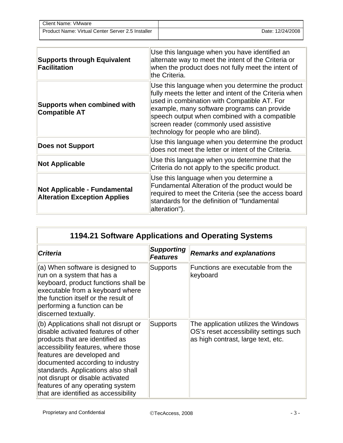| Client Name: VMware                               |                  |
|---------------------------------------------------|------------------|
| Product Name: Virtual Center Server 2.5 Installer | Date: 12/24/2008 |

| <b>Supports through Equivalent</b><br><b>Facilitation</b>                  | Use this language when you have identified an<br>alternate way to meet the intent of the Criteria or<br>when the product does not fully meet the intent of<br>the Criteria.                                                                                                                                                                  |
|----------------------------------------------------------------------------|----------------------------------------------------------------------------------------------------------------------------------------------------------------------------------------------------------------------------------------------------------------------------------------------------------------------------------------------|
| <b>Supports when combined with</b><br><b>Compatible AT</b>                 | Use this language when you determine the product<br>fully meets the letter and intent of the Criteria when<br>used in combination with Compatible AT. For<br>example, many software programs can provide<br>speech output when combined with a compatible<br>screen reader (commonly used assistive<br>technology for people who are blind). |
| <b>Does not Support</b>                                                    | Use this language when you determine the product<br>does not meet the letter or intent of the Criteria.                                                                                                                                                                                                                                      |
| <b>Not Applicable</b>                                                      | Use this language when you determine that the<br>Criteria do not apply to the specific product.                                                                                                                                                                                                                                              |
| <b>Not Applicable - Fundamental</b><br><b>Alteration Exception Applies</b> | Use this language when you determine a<br>Fundamental Alteration of the product would be<br>required to meet the Criteria (see the access board<br>standards for the definition of "fundamental<br>alteration").                                                                                                                             |

| 1194.21 Software Applications and Operating Systems                                                                                                                                                                                                                                                                                                                            |                                      |                                                                                                                      |  |
|--------------------------------------------------------------------------------------------------------------------------------------------------------------------------------------------------------------------------------------------------------------------------------------------------------------------------------------------------------------------------------|--------------------------------------|----------------------------------------------------------------------------------------------------------------------|--|
| <b>Criteria</b>                                                                                                                                                                                                                                                                                                                                                                | <b>Supporting</b><br><b>Features</b> | <b>Remarks and explanations</b>                                                                                      |  |
| (a) When software is designed to<br>run on a system that has a<br>keyboard, product functions shall be<br>executable from a keyboard where<br>the function itself or the result of<br>performing a function can be<br>discerned textually.                                                                                                                                     | <b>Supports</b>                      | Functions are executable from the<br>keyboard                                                                        |  |
| (b) Applications shall not disrupt or<br>disable activated features of other<br>products that are identified as<br>accessibility features, where those<br>features are developed and<br>documented according to industry<br>standards. Applications also shall<br>not disrupt or disable activated<br>features of any operating system<br>that are identified as accessibility | <b>Supports</b>                      | The application utilizes the Windows<br>OS's reset accessibility settings such<br>as high contrast, large text, etc. |  |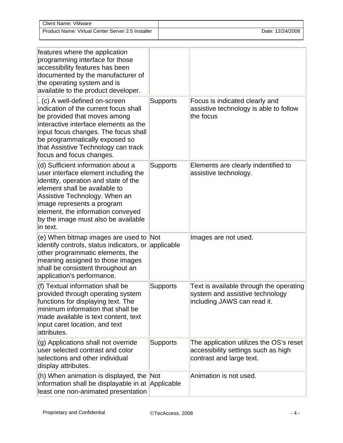| <b>Client Name: VMware</b>                        |                  |
|---------------------------------------------------|------------------|
| Product Name: Virtual Center Server 2.5 Installer | Date: 12/24/2008 |

| features where the application<br>programming interface for those<br>accessibility features has been<br>documented by the manufacturer of<br>the operating system and is<br>available to the product developer.                                                                                            |                 |                                                                                                            |
|------------------------------------------------------------------------------------------------------------------------------------------------------------------------------------------------------------------------------------------------------------------------------------------------------------|-----------------|------------------------------------------------------------------------------------------------------------|
| . (c) A well-defined on-screen<br>indication of the current focus shall<br>be provided that moves among<br>interactive interface elements as the<br>input focus changes. The focus shall<br>be programmatically exposed so<br>that Assistive Technology can track<br>focus and focus changes.              | <b>Supports</b> | Focus is indicated clearly and<br>assistive technology is able to follow<br>the focus                      |
| (d) Sufficient information about a<br>user interface element including the<br>identity, operation and state of the<br>element shall be available to<br>Assistive Technology. When an<br>image represents a program<br>element, the information conveyed<br>by the image must also be available<br>in text. | <b>Supports</b> | Elements are clearly indentified to<br>assistive technology.                                               |
| (e) When bitmap images are used to Not<br>identify controls, status indicators, or<br>other programmatic elements, the<br>meaning assigned to those images<br>shall be consistent throughout an<br>application's performance.                                                                              | applicable      | Images are not used.                                                                                       |
| (f) Textual information shall be<br>provided through operating system<br>functions for displaying text. The<br>minimum information that shall be<br>made available is text content, text<br>input caret location, and text<br>attributes.                                                                  | <b>Supports</b> | Text is available through the operating<br>system and assistive technology<br>including JAWS can read it.  |
| (g) Applications shall not override<br>user selected contrast and color<br>selections and other individual<br>display attributes.                                                                                                                                                                          | <b>Supports</b> | The application utilizes the OS's reset<br>accessibility settings such as high<br>contrast and large text. |
| (h) When animation is displayed, the Not<br>information shall be displayable in at Applicable<br>least one non-animated presentation                                                                                                                                                                       |                 | Animation is not used.                                                                                     |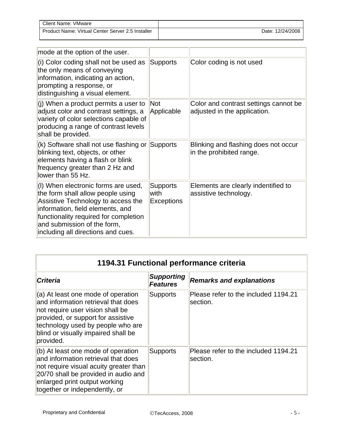| <b>Client Name: VMware</b>                        |                  |
|---------------------------------------------------|------------------|
| Product Name: Virtual Center Server 2.5 Installer | Date: 12/24/2008 |

| mode at the option of the user.                                                                                                                                                                                                                                  |                                              |                                                                       |
|------------------------------------------------------------------------------------------------------------------------------------------------------------------------------------------------------------------------------------------------------------------|----------------------------------------------|-----------------------------------------------------------------------|
| (i) Color coding shall not be used as<br>the only means of conveying<br>information, indicating an action,<br>prompting a response, or<br>distinguishing a visual element.                                                                                       | <b>Supports</b>                              | Color coding is not used                                              |
| (j) When a product permits a user to<br>adjust color and contrast settings, a<br>variety of color selections capable of<br>producing a range of contrast levels<br>shall be provided.                                                                            | Not<br>Applicable                            | Color and contrast settings cannot be<br>adjusted in the application. |
| $(k)$ Software shall not use flashing or<br>blinking text, objects, or other<br>elements having a flash or blink<br>frequency greater than 2 Hz and<br>lower than 55 Hz.                                                                                         | Supports                                     | Blinking and flashing does not occur<br>in the prohibited range.      |
| (I) When electronic forms are used,<br>the form shall allow people using<br>Assistive Technology to access the<br>information, field elements, and<br>functionality required for completion<br>and submission of the form,<br>including all directions and cues. | <b>Supports</b><br>with<br><b>Exceptions</b> | Elements are clearly indentified to<br>assistive technology.          |

| 1194.31 Functional performance criteria                                                                                                                                                                                                        |                                      |                                                  |
|------------------------------------------------------------------------------------------------------------------------------------------------------------------------------------------------------------------------------------------------|--------------------------------------|--------------------------------------------------|
| <b>Criteria</b>                                                                                                                                                                                                                                | <b>Supporting</b><br><b>Features</b> | <b>Remarks and explanations</b>                  |
| $(a)$ At least one mode of operation<br>and information retrieval that does<br>not require user vision shall be<br>provided, or support for assistive<br>technology used by people who are<br>blind or visually impaired shall be<br>provided. | Supports                             | Please refer to the included 1194.21<br>section. |
| $(b)$ At least one mode of operation<br>and information retrieval that does<br>not require visual acuity greater than<br>20/70 shall be provided in audio and<br>enlarged print output working<br>together or independently, or                | <b>Supports</b>                      | Please refer to the included 1194.21<br>section. |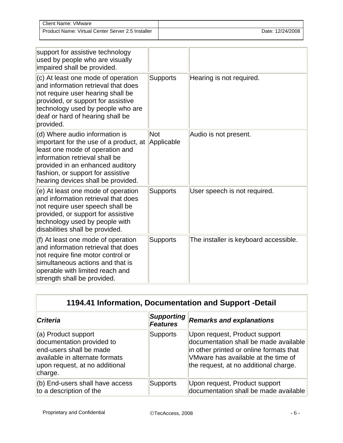| <b>Client Name: VMware</b>                        |                  |
|---------------------------------------------------|------------------|
| Product Name: Virtual Center Server 2.5 Installer | Date: 12/24/2008 |

| support for assistive technology<br>used by people who are visually<br>impaired shall be provided.                                                                                                                                                           |                          |                                       |
|--------------------------------------------------------------------------------------------------------------------------------------------------------------------------------------------------------------------------------------------------------------|--------------------------|---------------------------------------|
| (c) At least one mode of operation<br>and information retrieval that does<br>not require user hearing shall be<br>provided, or support for assistive<br>technology used by people who are<br>deaf or hard of hearing shall be<br>provided.                   | <b>Supports</b>          | Hearing is not required.              |
| (d) Where audio information is<br>important for the use of a product, at<br>least one mode of operation and<br>information retrieval shall be<br>provided in an enhanced auditory<br>fashion, or support for assistive<br>hearing devices shall be provided. | <b>Not</b><br>Applicable | Audio is not present.                 |
| (e) At least one mode of operation<br>and information retrieval that does<br>not require user speech shall be<br>provided, or support for assistive<br>technology used by people with<br>disabilities shall be provided.                                     | <b>Supports</b>          | User speech is not required.          |
| (f) At least one mode of operation<br>and information retrieval that does<br>not require fine motor control or<br>simultaneous actions and that is<br>operable with limited reach and<br>strength shall be provided.                                         | <b>Supports</b>          | The installer is keyboard accessible. |

| 1194.41 Information, Documentation and Support -Detail                                                                                                     |                                      |                                                                                                                                                                                                   |  |
|------------------------------------------------------------------------------------------------------------------------------------------------------------|--------------------------------------|---------------------------------------------------------------------------------------------------------------------------------------------------------------------------------------------------|--|
| <b>Criteria</b>                                                                                                                                            | <b>Supporting</b><br><b>Features</b> | <b>Remarks and explanations</b>                                                                                                                                                                   |  |
| (a) Product support<br>documentation provided to<br>end-users shall be made<br>available in alternate formats<br>upon request, at no additional<br>charge. | <b>Supports</b>                      | Upon request, Product support<br>documentation shall be made available<br>in other printed or online formats that<br>VMware has available at the time of<br>the request, at no additional charge. |  |
| (b) End-users shall have access<br>to a description of the                                                                                                 | <b>Supports</b>                      | Upon request, Product support<br>documentation shall be made available                                                                                                                            |  |